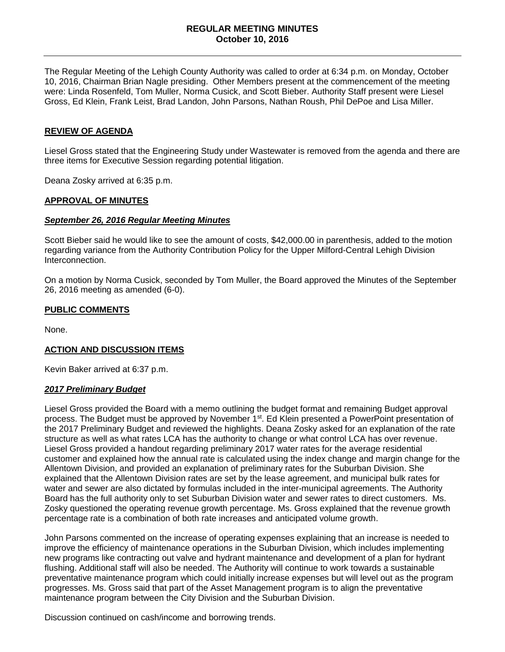The Regular Meeting of the Lehigh County Authority was called to order at 6:34 p.m. on Monday, October 10, 2016, Chairman Brian Nagle presiding. Other Members present at the commencement of the meeting were: Linda Rosenfeld, Tom Muller, Norma Cusick, and Scott Bieber. Authority Staff present were Liesel Gross, Ed Klein, Frank Leist, Brad Landon, John Parsons, Nathan Roush, Phil DePoe and Lisa Miller.

### **REVIEW OF AGENDA**

Liesel Gross stated that the Engineering Study under Wastewater is removed from the agenda and there are three items for Executive Session regarding potential litigation.

Deana Zosky arrived at 6:35 p.m.

#### **APPROVAL OF MINUTES**

#### *September 26, 2016 Regular Meeting Minutes*

Scott Bieber said he would like to see the amount of costs, \$42,000.00 in parenthesis, added to the motion regarding variance from the Authority Contribution Policy for the Upper Milford-Central Lehigh Division Interconnection.

On a motion by Norma Cusick, seconded by Tom Muller, the Board approved the Minutes of the September 26, 2016 meeting as amended (6-0).

### **PUBLIC COMMENTS**

None.

### **ACTION AND DISCUSSION ITEMS**

Kevin Baker arrived at 6:37 p.m.

#### *2017 Preliminary Budget*

Liesel Gross provided the Board with a memo outlining the budget format and remaining Budget approval process. The Budget must be approved by November 1<sup>st</sup>. Ed Klein presented a PowerPoint presentation of the 2017 Preliminary Budget and reviewed the highlights. Deana Zosky asked for an explanation of the rate structure as well as what rates LCA has the authority to change or what control LCA has over revenue. Liesel Gross provided a handout regarding preliminary 2017 water rates for the average residential customer and explained how the annual rate is calculated using the index change and margin change for the Allentown Division, and provided an explanation of preliminary rates for the Suburban Division. She explained that the Allentown Division rates are set by the lease agreement, and municipal bulk rates for water and sewer are also dictated by formulas included in the inter-municipal agreements. The Authority Board has the full authority only to set Suburban Division water and sewer rates to direct customers. Ms. Zosky questioned the operating revenue growth percentage. Ms. Gross explained that the revenue growth percentage rate is a combination of both rate increases and anticipated volume growth.

John Parsons commented on the increase of operating expenses explaining that an increase is needed to improve the efficiency of maintenance operations in the Suburban Division, which includes implementing new programs like contracting out valve and hydrant maintenance and development of a plan for hydrant flushing. Additional staff will also be needed. The Authority will continue to work towards a sustainable preventative maintenance program which could initially increase expenses but will level out as the program progresses. Ms. Gross said that part of the Asset Management program is to align the preventative maintenance program between the City Division and the Suburban Division.

Discussion continued on cash/income and borrowing trends.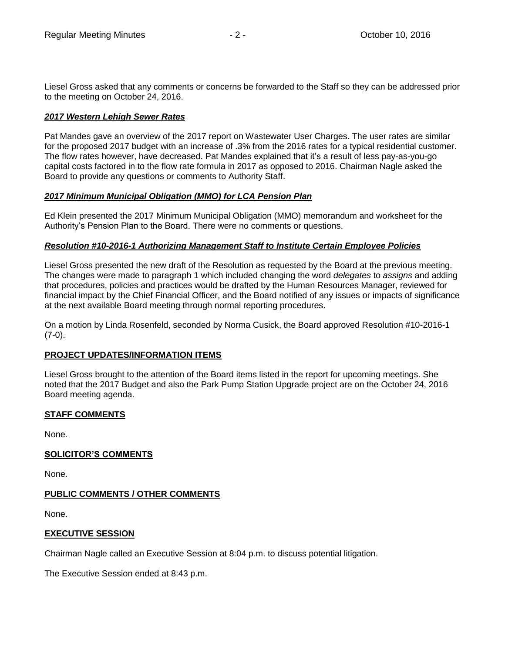Liesel Gross asked that any comments or concerns be forwarded to the Staff so they can be addressed prior to the meeting on October 24, 2016.

## *2017 Western Lehigh Sewer Rates*

Pat Mandes gave an overview of the 2017 report on Wastewater User Charges. The user rates are similar for the proposed 2017 budget with an increase of .3% from the 2016 rates for a typical residential customer. The flow rates however, have decreased. Pat Mandes explained that it's a result of less pay-as-you-go capital costs factored in to the flow rate formula in 2017 as opposed to 2016. Chairman Nagle asked the Board to provide any questions or comments to Authority Staff.

## *2017 Minimum Municipal Obligation (MMO) for LCA Pension Plan*

Ed Klein presented the 2017 Minimum Municipal Obligation (MMO) memorandum and worksheet for the Authority's Pension Plan to the Board. There were no comments or questions.

## *Resolution #10-2016-1 Authorizing Management Staff to Institute Certain Employee Policies*

Liesel Gross presented the new draft of the Resolution as requested by the Board at the previous meeting. The changes were made to paragraph 1 which included changing the word *delegates* to *assigns* and adding that procedures, policies and practices would be drafted by the Human Resources Manager, reviewed for financial impact by the Chief Financial Officer, and the Board notified of any issues or impacts of significance at the next available Board meeting through normal reporting procedures.

On a motion by Linda Rosenfeld, seconded by Norma Cusick, the Board approved Resolution #10-2016-1  $(7-0)$ .

# **PROJECT UPDATES/INFORMATION ITEMS**

Liesel Gross brought to the attention of the Board items listed in the report for upcoming meetings. She noted that the 2017 Budget and also the Park Pump Station Upgrade project are on the October 24, 2016 Board meeting agenda.

# **STAFF COMMENTS**

None.

# **SOLICITOR'S COMMENTS**

None.

# **PUBLIC COMMENTS / OTHER COMMENTS**

None.

# **EXECUTIVE SESSION**

Chairman Nagle called an Executive Session at 8:04 p.m. to discuss potential litigation.

The Executive Session ended at 8:43 p.m.